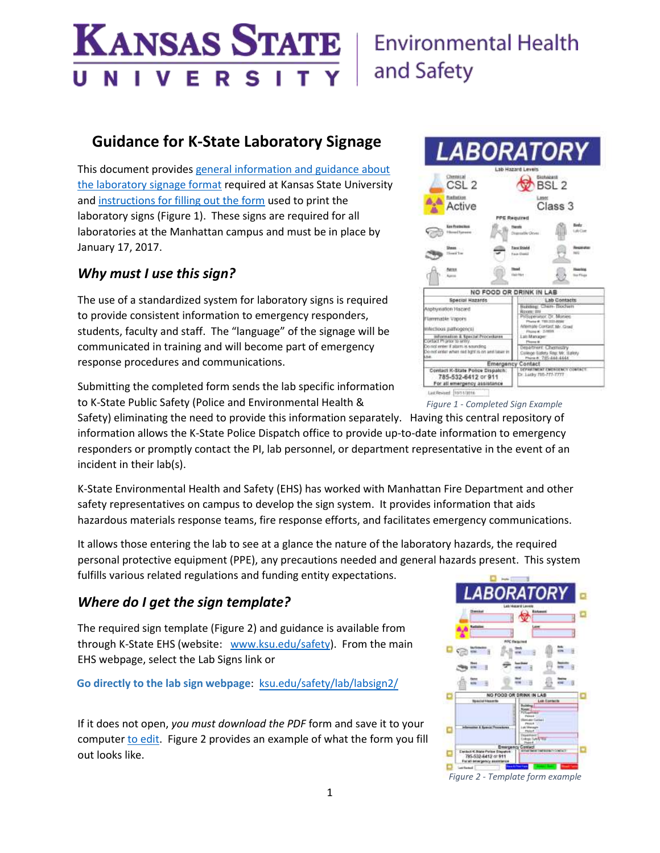#### **KANSAS STATE** Е S V R т

# **Environmental Health** and Safety

# **Guidance for K-State Laboratory Signage**

This document provide[s general information and guidance about](#page-2-0)  [the laboratory signage format](#page-2-0) required at Kansas State University and [instructions for filling out the form](#page-5-0) used to print the laboratory signs (Figure 1). These signs are required for all laboratories at the Manhattan campus and must be in place by January 17, 2017.

### *Why must I use this sign?*

The use of a standardized system for laboratory signs is required to provide consistent information to emergency responders, students, faculty and staff. The "language" of the signage will be communicated in training and will become part of emergency response procedures and communications.

Submitting the completed form sends the lab specific information to K-State Public Safety (Police and Environmental Health &

Safety) eliminating the need to provide this information separately. Having this central repository of information allows the K-State Police Dispatch office to provide up-to-date information to emergency responders or promptly contact the PI, lab personnel, or department representative in the event of an incident in their lab(s).

K-State Environmental Health and Safety (EHS) has worked with Manhattan Fire Department and other safety representatives on campus to develop the sign system. It provides information that aids hazardous materials response teams, fire response efforts, and facilitates emergency communications.

It allows those entering the lab to see at a glance the nature of the laboratory hazards, the required personal protective equipment (PPE), any precautions needed and general hazards present. This system fulfills various related regulations and funding entity expectations.

### *Where do I get the sign template?*

The required sign template (Figure 2) and guidance is available from through K-State EHS (website: [www.ksu.edu/safety\)](http://www.ksu.edu/safety). From the main EHS webpage, select the [Lab Signs](https://www.k-state.edu/safety/lab/labsign2/) link or

**Go directly to the lab sign webpage**: [ksu.edu/safety/lab/labsign2/](https://www.k-state.edu/safety/lab/labsign2/)

If it does not open, *you must download the PDF* form and save it to your computer [to edit.](#page-5-0) Figure 2 provides an example of what the form you fill out looks like.



*Figure 1 - Completed Sign Example*



*Figure 2 - Template form example*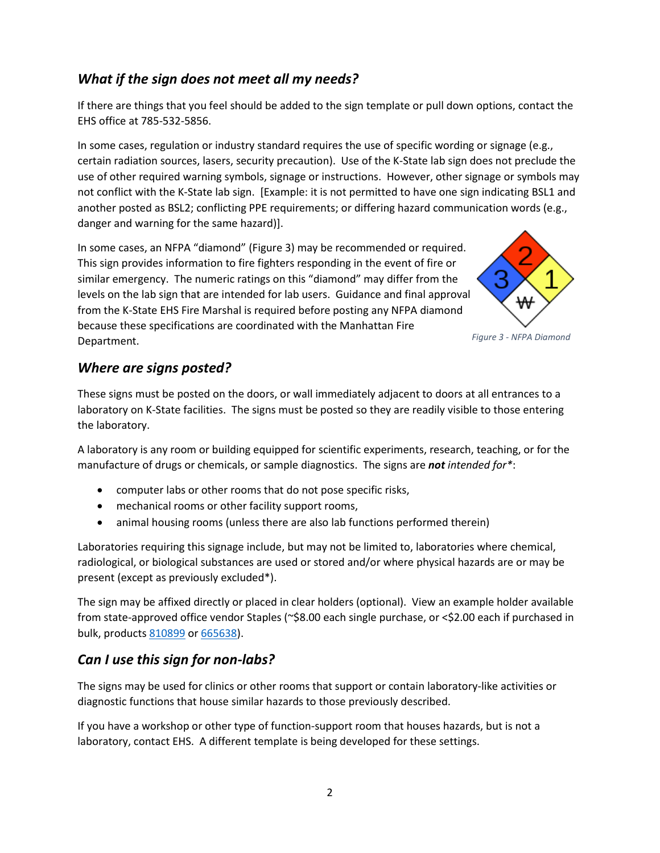### *What if the sign does not meet all my needs?*

If there are things that you feel should be added to the sign template or pull down options, contact the EHS office at 785-532-5856.

In some cases, regulation or industry standard requires the use of specific wording or signage (e.g., certain radiation sources, lasers, security precaution). Use of the K-State lab sign does not preclude the use of other required warning symbols, signage or instructions. However, other signage or symbols may not conflict with the K-State lab sign. [Example: it is not permitted to have one sign indicating BSL1 and another posted as BSL2; conflicting PPE requirements; or differing hazard communication words (e.g., danger and warning for the same hazard)].

In some cases, an NFPA "diamond" (Figure 3) may be recommended or required. This sign provides information to fire fighters responding in the event of fire or similar emergency. The numeric ratings on this "diamond" may differ from the levels on the lab sign that are intended for lab users. Guidance and final approval from the K-State EHS Fire Marshal is required before posting any NFPA diamond because these specifications are coordinated with the Manhattan Fire Department.



### *Where are signs posted?*

These signs must be posted on the doors, or wall immediately adjacent to doors at all entrances to a laboratory on K-State facilities. The signs must be posted so they are readily visible to those entering the laboratory.

A laboratory is any room or building equipped for scientific experiments, research, teaching, or for the manufacture of drugs or chemicals, or sample diagnostics. The signs are *not intended for\**:

- computer labs or other rooms that do not pose specific risks,
- mechanical rooms or other facility support rooms,
- animal housing rooms (unless there are also lab functions performed therein)

Laboratories requiring this signage include, but may not be limited to, laboratories where chemical, radiological, or biological substances are used or stored and/or where physical hazards are or may be present (except as previously excluded\*).

The sign may be affixed directly or placed in clear holders (optional). View an example holder available from state-approved office vendor Staples (~\$8.00 each single purchase, or <\$2.00 each if purchased in bulk, product[s 810899](http://www.staples.com/Staples-reg-Plastic-Vertical-Sign-Holder-Magnetic-8-1-2-x-11-Clear/product_810899) o[r 665638\)](http://www.staples.com/Staples-Vertical-Wall-Mount-Sign-Holder-Portrait-8-1-2-W-x-11-H-16651-CC-/product_665638).

### *Can I use this sign for non-labs?*

The signs may be used for clinics or other rooms that support or contain laboratory-like activities or diagnostic functions that house similar hazards to those previously described.

If you have a workshop or other type of function-support room that houses hazards, but is not a laboratory, contact EHS. A different template is being developed for these settings.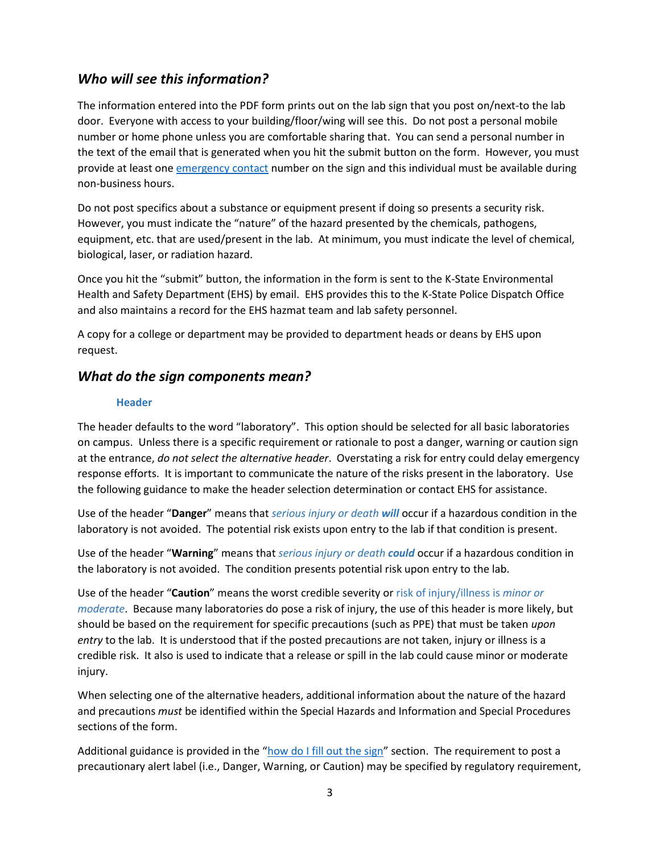### *Who will see this information?*

The information entered into the PDF form prints out on the lab sign that you post on/next-to the lab door. Everyone with access to your building/floor/wing will see this. Do not post a personal mobile number or home phone unless you are comfortable sharing that. You can send a personal number in the text of the email that is generated when you hit the submit button on the form. However, you must provide at least one [emergency contact](#page-5-1) number on the sign and this individual must be available during non-business hours.

Do not post specifics about a substance or equipment present if doing so presents a security risk. However, you must indicate the "nature" of the hazard presented by the chemicals, pathogens, equipment, etc. that are used/present in the lab. At minimum, you must indicate the level of chemical, biological, laser, or radiation hazard.

Once you hit the "submit" button, the information in the form is sent to the K-State Environmental Health and Safety Department (EHS) by email. EHS provides this to the K-State Police Dispatch Office and also maintains a record for the EHS hazmat team and lab safety personnel.

A copy for a college or department may be provided to department heads or deans by EHS upon request.

### <span id="page-2-0"></span>*What do the sign components mean?*

#### **Header**

The header defaults to the word "laboratory". This option should be selected for all basic laboratories on campus. Unless there is a specific requirement or rationale to post a danger, warning or caution sign at the entrance, *do not select the alternative header*. Overstating a risk for entry could delay emergency response efforts. It is important to communicate the nature of the risks present in the laboratory. Use the following guidance to make the header selection determination or contact EHS for assistance.

Use of the header "**Danger**" means that *serious injury or death will* occur if a hazardous condition in the laboratory is not avoided. The potential risk exists upon entry to the lab if that condition is present.

Use of the header "**Warning**" means that *serious injury or death could* occur if a hazardous condition in the laboratory is not avoided. The condition presents potential risk upon entry to the lab.

Use of the header "**Caution**" means the worst credible severity or risk of injury/illness is *minor or moderate*. Because many laboratories do pose a risk of injury, the use of this header is more likely, but should be based on the requirement for specific precautions (such as PPE) that must be taken *upon entry* to the lab. It is understood that if the posted precautions are not taken, injury or illness is a credible risk. It also is used to indicate that a release or spill in the lab could cause minor or moderate injury.

When selecting one of the alternative headers, additional information about the nature of the hazard and precautions *must* be identified within the Special Hazards and Information and Special Procedures sections of the form.

Additional guidance is provided in the "[how do I fill out the](#page-5-0) sign" section. The requirement to post a precautionary alert label (i.e., Danger, Warning, or Caution) may be specified by regulatory requirement,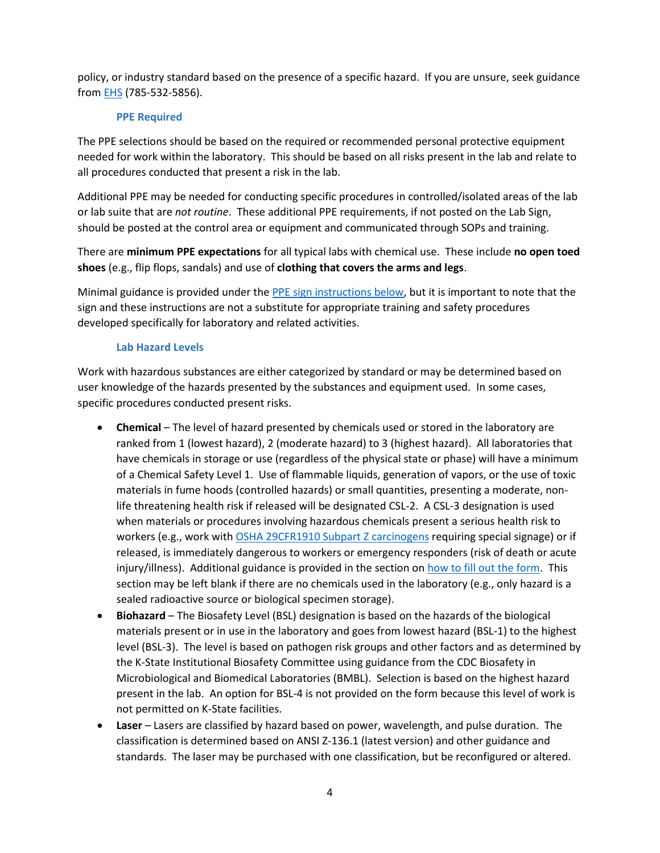policy, or industry standard based on the presence of a specific hazard. If you are unsure, seek guidance from **EHS** (785-532-5856).

#### **PPE Required**

The PPE selections should be based on the required or recommended personal protective equipment needed for work within the laboratory. This should be based on all risks present in the lab and relate to all procedures conducted that present a risk in the lab.

Additional PPE may be needed for conducting specific procedures in controlled/isolated areas of the lab or lab suite that are *not routine*. These additional PPE requirements, if not posted on the Lab Sign, should be posted at the control area or equipment and communicated through SOPs and training.

There are **minimum PPE expectations** for all typical labs with chemical use. These include **no open toed shoes** (e.g., flip flops, sandals) and use of **clothing that covers the arms and legs**.

Minimal guidance is provided under th[e PPE sign instructions below,](#page-7-0) but it is important to note that the sign and these instructions are not a substitute for appropriate training and safety procedures developed specifically for laboratory and related activities.

#### **Lab Hazard Levels**

<span id="page-3-0"></span>Work with hazardous substances are either categorized by standard or may be determined based on user knowledge of the hazards presented by the substances and equipment used. In some cases, specific procedures conducted present risks.

- **Chemical** The level of hazard presented by chemicals used or stored in the laboratory are ranked from 1 (lowest hazard), 2 (moderate hazard) to 3 (highest hazard). All laboratories that have chemicals in storage or use (regardless of the physical state or phase) will have a minimum of a Chemical Safety Level 1. Use of flammable liquids, generation of vapors, or the use of toxic materials in fume hoods (controlled hazards) or small quantities, presenting a moderate, nonlife threatening health risk if released will be designated CSL-2. A CSL-3 designation is used when materials or procedures involving hazardous chemicals present a serious health risk to workers (e.g., work with [OSHA 29CFR1910 Subpart Z](https://www.osha.gov/SLTC/carcinogens/standards.html) carcinogens requiring special signage) or if released, is immediately dangerous to workers or emergency responders (risk of death or acute injury/illness). Additional guidance is provided in the section o[n how to fill out the form.](#page-9-0) This section may be left blank if there are no chemicals used in the laboratory (e.g., only hazard is a sealed radioactive source or biological specimen storage).
- **Biohazard** The Biosafety Level (BSL) designation is based on the hazards of the biological materials present or in use in the laboratory and goes from lowest hazard (BSL-1) to the highest level (BSL-3). The level is based on pathogen risk groups and other factors and as determined by the K-State Institutional Biosafety Committee using guidance from the CDC Biosafety in Microbiological and Biomedical Laboratories (BMBL). Selection is based on the highest hazard present in the lab. An option for BSL-4 is not provided on the form because this level of work is not permitted on K-State facilities.
- **Laser** Lasers are classified by hazard based on power, wavelength, and pulse duration. The classification is determined based on ANSI Z-136.1 (latest version) and other guidance and standards. The laser may be purchased with one classification, but be reconfigured or altered.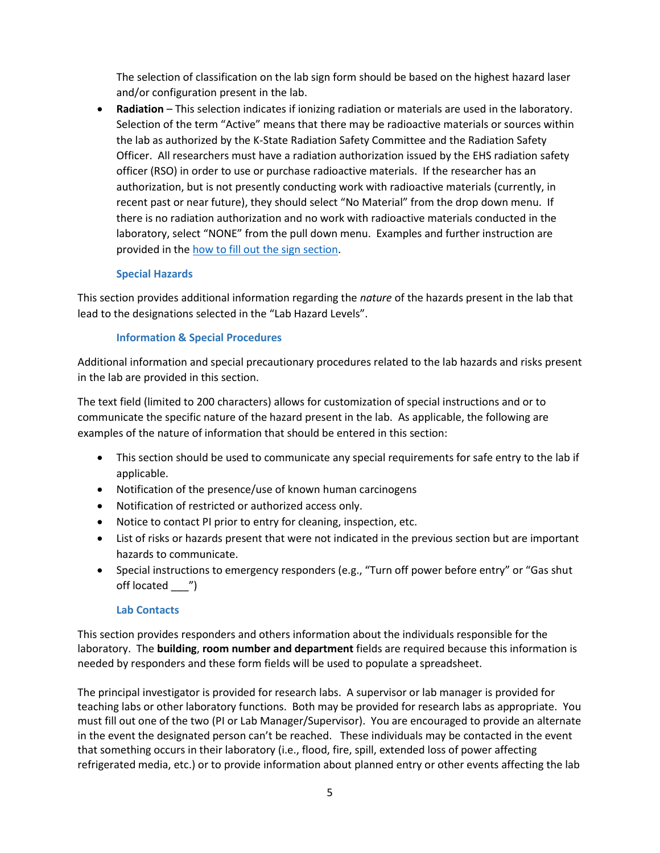The selection of classification on the lab sign form should be based on the highest hazard laser and/or configuration present in the lab.

 **Radiation** – This selection indicates if ionizing radiation or materials are used in the laboratory. Selection of the term "Active" means that there may be radioactive materials or sources within the lab as authorized by the K-State Radiation Safety Committee and the Radiation Safety Officer. All researchers must have a radiation authorization issued by the EHS radiation safety officer (RSO) in order to use or purchase radioactive materials. If the researcher has an authorization, but is not presently conducting work with radioactive materials (currently, in recent past or near future), they should select "No Material" from the drop down menu. If there is no radiation authorization and no work with radioactive materials conducted in the laboratory, select "NONE" from the pull down menu. Examples and further instruction are provided in th[e how to fill out the sign section.](#page-9-0)

#### **Special Hazards**

This section provides additional information regarding the *nature* of the hazards present in the lab that lead to the designations selected in the "Lab Hazard Levels".

#### **Information & Special Procedures**

Additional information and special precautionary procedures related to the lab hazards and risks present in the lab are provided in this section.

The text field (limited to 200 characters) allows for customization of special instructions and or to communicate the specific nature of the hazard present in the lab. As applicable, the following are examples of the nature of information that should be entered in this section:

- This section should be used to communicate any special requirements for safe entry to the lab if applicable.
- Notification of the presence/use of known human carcinogens
- Notification of restricted or authorized access only.
- Notice to contact PI prior to entry for cleaning, inspection, etc.
- List of risks or hazards present that were not indicated in the previous section but are important hazards to communicate.
- Special instructions to emergency responders (e.g., "Turn off power before entry" or "Gas shut off located \_\_\_")

#### **Lab Contacts**

This section provides responders and others information about the individuals responsible for the laboratory. The **building**, **room number and department** fields are required because this information is needed by responders and these form fields will be used to populate a spreadsheet.

The principal investigator is provided for research labs. A supervisor or lab manager is provided for teaching labs or other laboratory functions. Both may be provided for research labs as appropriate. You must fill out one of the two (PI or Lab Manager/Supervisor). You are encouraged to provide an alternate in the event the designated person can't be reached. These individuals may be contacted in the event that something occurs in their laboratory (i.e., flood, fire, spill, extended loss of power affecting refrigerated media, etc.) or to provide information about planned entry or other events affecting the lab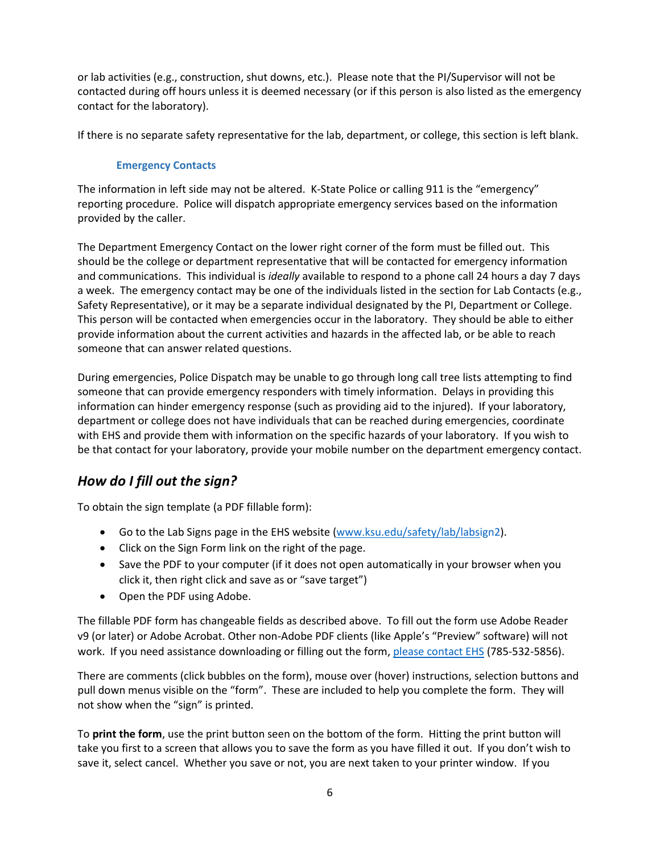## **Guidance for K-State Laboratory Signage**

This document provides general information and guidance about the laboratory signage format required at Kansas State University and instructions for filling out the form used to print the laboratory signs (Figure 1). These signs are required for all laboratories at the Manhattan campus and must be in place by January 17, 2017.

### $W$  must I use this sign?

The use of a standardized system for laboratory signs is required to provide consistent information to emergency responders, students, faculty and staff. The "language" of the signage will be communicated in training and will become part of emergency response procedures and communications.

Submitting the completed form sends the lab specific information to K-State Public Safety (Police and Environmental Health & Faure 1 - Completed Sign Emple Safety) eliminating the need to provide this information separately. Having this central repository of information allows the K-State Police Dispatch office to provide up-to-date information to emergency responders or promptly contact the PI, lab personnel, or department representative in the event of an incident in their lab(s).

K-State Environmental Health and Safety (EHS) has worked with Manhattan Fire Department and other safety representatives on campus to develop the sign system. It provides information that aids hazardous materials response teams, fire response efforts, and facilitates emergency communications.

It allows those entering the lab to see at a glance the nature of the laboratory hazards, the required personal protective equipment (PPE), any precautions needed and general hazards present. This system fulfills various related regulations and funding entity expectations.

### Were do I get the sign template?

The required sign template (Figure 2) and guidance is available from through K-State EHS (website: www.ksu.edu/safety). From the main EHS webpage, select the Lab Signs link or

Go directly to the lab sign webpage:

If it does not open, you must download the  $B$  form and save it to your computer to edit. Figure 2 provides an example of what the form you fill out looks like.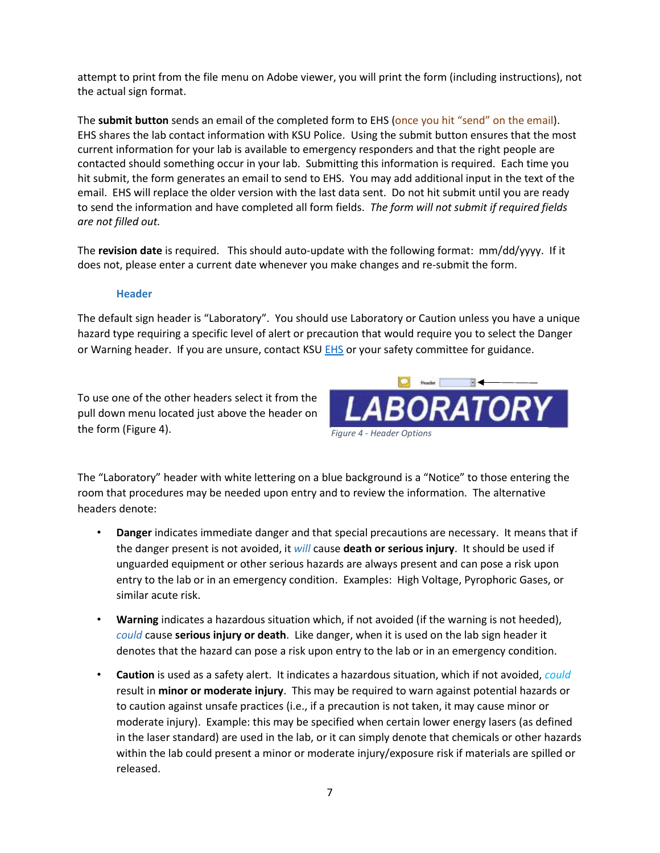attempt to print from the file menu on Adobe viewer, you will print the form (including instructions), not the actual sign format.

The **submit button** sends an email of the completed form to EHS (once you hit "send" on the email). EHS shares the lab contact information with KSU Police. Using the submit button ensures that the most current information for your lab is available to emergency responders and that the right people are contacted should something occur in your lab. Submitting this information is required. Each time you hit submit, the form generates an email to send to EHS. You may add additional input in the text of the email. EHS will replace the older version with the last data sent. Do not hit submit until you are ready to send the information and have completed all form fields. *The form will not submit if required fields are not filled out.* 

The **revision date** is required. This should auto-update with the following format: mm/dd/yyyy. If it does not, please enter a current date whenever you make changes and re-submit the form.

#### **Header**

The default sign header is "Laboratory". You should use Laboratory or Caution unless you have a unique hazard type requiring a specific level of alert or precaution that would require you to select the Danger or Warning header. If you are unsure, contact KSU [EHS](mailto:safety@k-state.edu) or your safety committee for guidance.

To use one of the other headers select it from the pull down menu located just above the header on the form (Figure 4).



The "Laboratory" header with white lettering on a blue background is a "Notice" to those entering the room that procedures may be needed upon entry and to review the information. The alternative headers denote:

- **Danger** indicates immediate danger and that special precautions are necessary. It means that if the danger present is not avoided, it *will* cause **death or serious injury**. It should be used if unguarded equipment or other serious hazards are always present and can pose a risk upon entry to the lab or in an emergency condition. Examples: High Voltage, Pyrophoric Gases, or similar acute risk.
- **Warning** indicates a hazardous situation which, if not avoided (if the warning is not heeded), *could* cause **serious injury or death**. Like danger, when it is used on the lab sign header it denotes that the hazard can pose a risk upon entry to the lab or in an emergency condition.
- **Caution** is used as a safety alert. It indicates a hazardous situation, which if not avoided, *could* result in **minor or moderate injury**. This may be required to warn against potential hazards or to caution against unsafe practices (i.e., if a precaution is not taken, it may cause minor or moderate injury). Example: this may be specified when certain lower energy lasers (as defined in the laser standard) are used in the lab, or it can simply denote that chemicals or other hazards within the lab could present a minor or moderate injury/exposure risk if materials are spilled or released.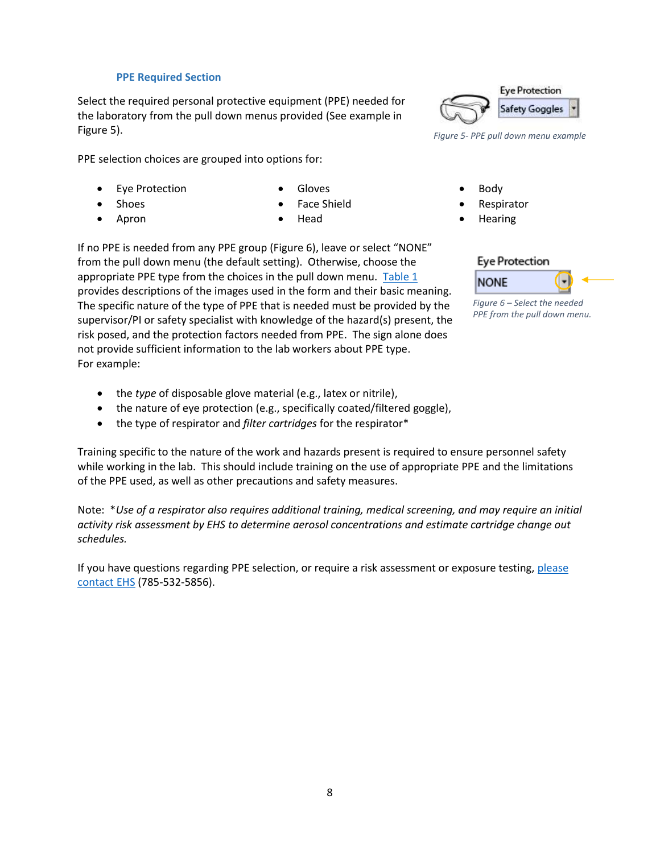#### **PPE Required Section**

<span id="page-7-0"></span>Select the required personal protective equipment (PPE) needed for the laboratory from the pull down menus provided (See example in Figure 5).

PPE selection choices are grouped into options for:

Eye Protection

Gloves

Shoes

Face Shield

Apron

Head

If no PPE is needed from any PPE group (Figure 6), leave or select "NONE" from the pull down menu (the default setting). Otherwise, choose the appropriate PPE type from the choices in the pull down menu. [Table 1](#page-8-0) provides descriptions of the images used in the form and their basic meaning. The specific nature of the type of PPE that is needed must be provided by the supervisor/PI or safety specialist with knowledge of the hazard(s) present, the risk posed, and the protection factors needed from PPE. The sign alone does not provide sufficient information to the lab workers about PPE type. For example:

- the *type* of disposable glove material (e.g., latex or nitrile),
- the nature of eye protection (e.g., specifically coated/filtered goggle),
- the type of respirator and *filter cartridges* for the respirator\*

Training specific to the nature of the work and hazards present is required to ensure personnel safety while working in the lab. This should include training on the use of appropriate PPE and the limitations of the PPE used, as well as other precautions and safety measures.

Note: \**Use of a respirator also requires additional training, medical screening, and may require an initial activity risk assessment by EHS to determine aerosol concentrations and estimate cartridge change out schedules.* 

If you have questions regarding PPE selection, or require a risk assessment or exposure testing, please [contact EHS \(](mailto:safety@k-state.edu)785-532-5856).



*Figure 5- PPE pull down menu example*

- Body
- Respirator
- Hearing

### **Eye Protection**



*Figure 6 – Select the needed PPE from the pull down menu.*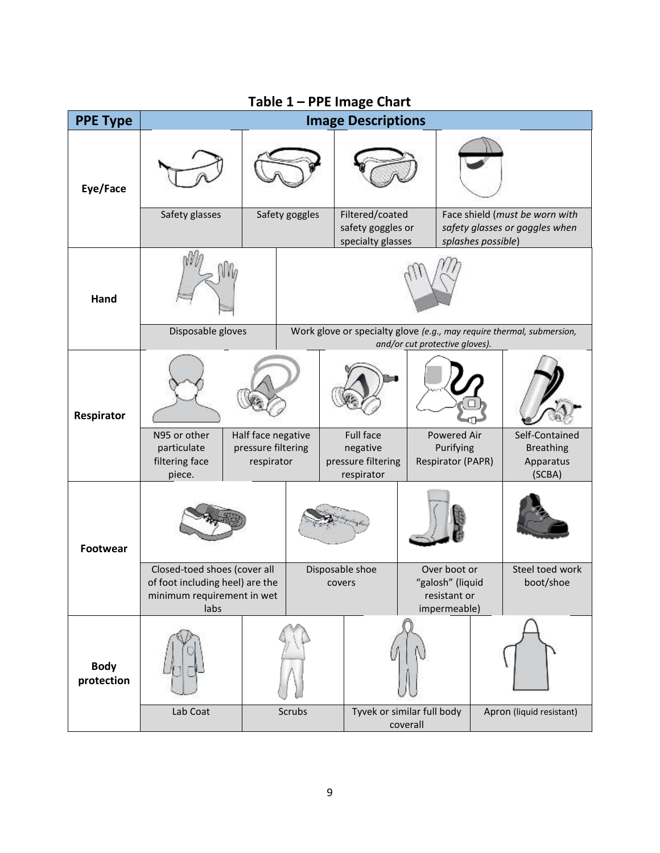<span id="page-8-0"></span>

| Table 1 - PPE Image Chart |                                                                                                       |                                                        |                                                                                                         |                                                           |                                                           |                                                                  |                                                                                        |                                                           |  |
|---------------------------|-------------------------------------------------------------------------------------------------------|--------------------------------------------------------|---------------------------------------------------------------------------------------------------------|-----------------------------------------------------------|-----------------------------------------------------------|------------------------------------------------------------------|----------------------------------------------------------------------------------------|-----------------------------------------------------------|--|
| <b>PPE Type</b>           | <b>Image Descriptions</b>                                                                             |                                                        |                                                                                                         |                                                           |                                                           |                                                                  |                                                                                        |                                                           |  |
| Eye/Face                  |                                                                                                       |                                                        |                                                                                                         |                                                           |                                                           |                                                                  |                                                                                        |                                                           |  |
|                           | Safety glasses                                                                                        |                                                        | Safety goggles                                                                                          |                                                           | Filtered/coated<br>safety goggles or<br>specialty glasses |                                                                  | Face shield (must be worn with<br>safety glasses or goggles when<br>splashes possible) |                                                           |  |
| Hand                      |                                                                                                       |                                                        |                                                                                                         |                                                           |                                                           |                                                                  |                                                                                        |                                                           |  |
|                           | Disposable gloves                                                                                     |                                                        | Work glove or specialty glove (e.g., may require thermal, submersion,<br>and/or cut protective gloves). |                                                           |                                                           |                                                                  |                                                                                        |                                                           |  |
| Respirator                |                                                                                                       |                                                        |                                                                                                         |                                                           |                                                           |                                                                  |                                                                                        |                                                           |  |
|                           | N95 or other<br>particulate<br>filtering face<br>piece.                                               | Half face negative<br>pressure filtering<br>respirator |                                                                                                         | Full face<br>negative<br>pressure filtering<br>respirator |                                                           | Powered Air<br>Purifying<br>Respirator (PAPR)                    |                                                                                        | Self-Contained<br><b>Breathing</b><br>Apparatus<br>(SCBA) |  |
| <b>Footwear</b>           |                                                                                                       |                                                        |                                                                                                         |                                                           |                                                           |                                                                  |                                                                                        |                                                           |  |
|                           | Closed-toed shoes (cover all<br>of foot including heel) are the<br>minimum requirement in wet<br>labs |                                                        | Disposable shoe<br>covers                                                                               |                                                           |                                                           | Over boot or<br>"galosh" (liquid<br>resistant or<br>impermeable) |                                                                                        | Steel toed work<br>boot/shoe                              |  |
| <b>Body</b><br>protection |                                                                                                       |                                                        |                                                                                                         |                                                           |                                                           |                                                                  |                                                                                        |                                                           |  |
|                           | Lab Coat                                                                                              | Scrubs                                                 |                                                                                                         |                                                           | Tyvek or similar full body<br>coverall                    |                                                                  |                                                                                        | Apron (liquid resistant)                                  |  |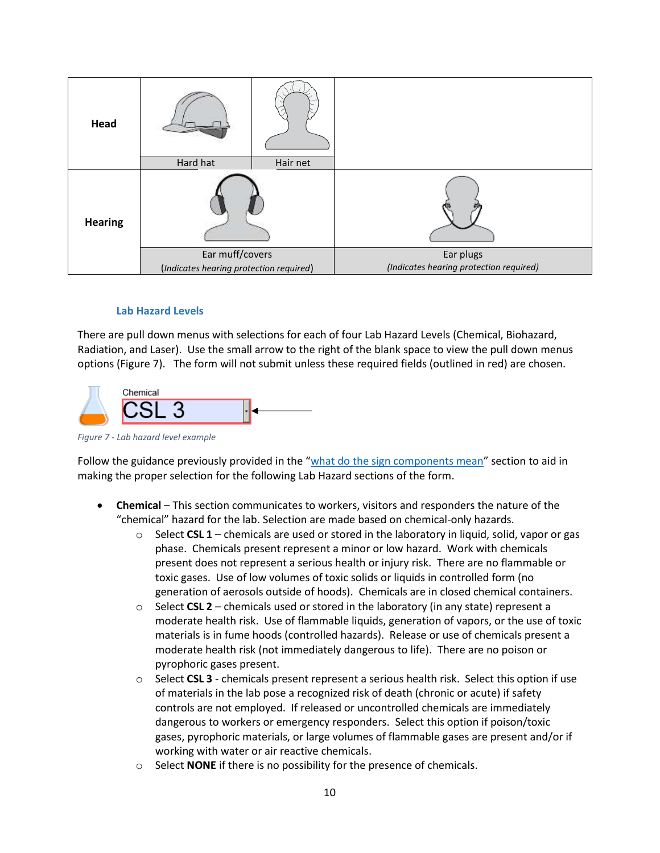| Head           |                                         |          |                                         |  |  |
|----------------|-----------------------------------------|----------|-----------------------------------------|--|--|
|                | Hard hat                                | Hair net |                                         |  |  |
| <b>Hearing</b> |                                         |          |                                         |  |  |
|                | Ear muff/covers                         |          | Ear plugs                               |  |  |
|                | (Indicates hearing protection required) |          | (Indicates hearing protection required) |  |  |

#### **Lab Hazard Levels**

<span id="page-9-0"></span>There are pull down menus with selections for each of four Lab Hazard Levels (Chemical, Biohazard, Radiation, and Laser). Use the small arrow to the right of the blank space to view the pull down menus options (Figure 7). The form will not submit unless these required fields (outlined in red) are chosen.



*Figure 7 - Lab hazard level example* 

Follow the guidance previously provided in the "[what do the sign components mean](#page-3-0)" section to aid in making the proper selection for the following Lab Hazard sections of the form.

- **Chemical** This section communicates to workers, visitors and responders the nature of the "chemical" hazard for the lab. Selection are made based on chemical-only hazards.
	- $\circ$  Select **CSL 1** chemicals are used or stored in the laboratory in liquid, solid, vapor or gas phase. Chemicals present represent a minor or low hazard. Work with chemicals present does not represent a serious health or injury risk. There are no flammable or toxic gases. Use of low volumes of toxic solids or liquids in controlled form (no generation of aerosols outside of hoods). Chemicals are in closed chemical containers.
	- $\circ$  Select **CSL 2** chemicals used or stored in the laboratory (in any state) represent a moderate health risk. Use of flammable liquids, generation of vapors, or the use of toxic materials is in fume hoods (controlled hazards). Release or use of chemicals present a moderate health risk (not immediately dangerous to life). There are no poison or pyrophoric gases present.
	- o Select **CSL 3** chemicals present represent a serious health risk. Select this option if use of materials in the lab pose a recognized risk of death (chronic or acute) if safety controls are not employed. If released or uncontrolled chemicals are immediately dangerous to workers or emergency responders. Select this option if poison/toxic gases, pyrophoric materials, or large volumes of flammable gases are present and/or if working with water or air reactive chemicals.
	- o Select **NONE** if there is no possibility for the presence of chemicals.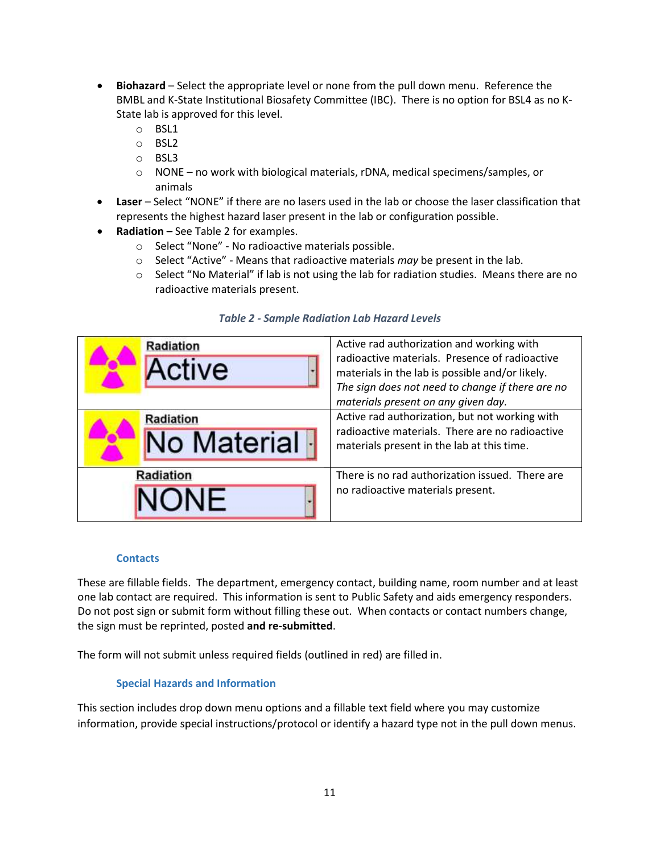- **Biohazard** Select the appropriate level or none from the pull down menu. Reference the BMBL and K-State Institutional Biosafety Committee (IBC). There is no option for BSL4 as no K-State lab is approved for this level.
	- o BSL1
	- o BSL2
	- o BSL3
	- o NONE no work with biological materials, rDNA, medical specimens/samples, or animals
- **Laser** Select "NONE" if there are no lasers used in the lab or choose the laser classification that represents the highest hazard laser present in the lab or configuration possible.
- **Radiation –** See Table 2 for examples.
	- o Select "None" No radioactive materials possible.
	- o Select "Active" Means that radioactive materials *may* be present in the lab.
	- $\circ$  Select "No Material" if lab is not using the lab for radiation studies. Means there are no radioactive materials present.

| Radiation<br>Active               | Active rad authorization and working with<br>radioactive materials. Presence of radioactive<br>materials in the lab is possible and/or likely.<br>The sign does not need to change if there are no<br>materials present on any given day. |  |  |  |
|-----------------------------------|-------------------------------------------------------------------------------------------------------------------------------------------------------------------------------------------------------------------------------------------|--|--|--|
| <b>Radiation</b><br>No Material - | Active rad authorization, but not working with<br>radioactive materials. There are no radioactive<br>materials present in the lab at this time.                                                                                           |  |  |  |
| Radiation<br>NONE                 | There is no rad authorization issued. There are<br>no radioactive materials present.                                                                                                                                                      |  |  |  |

#### *Table 2 - Sample Radiation Lab Hazard Levels*

#### **Contacts**

These are fillable fields. The department, emergency contact, building name, room number and at least one lab contact are required. This information is sent to Public Safety and aids emergency responders. Do not post sign or submit form without filling these out. When contacts or contact numbers change, the sign must be reprinted, posted **and re-submitted**.

The form will not submit unless required fields (outlined in red) are filled in.

#### **Special Hazards and Information**

This section includes drop down menu options and a fillable text field where you may customize information, provide special instructions/protocol or identify a hazard type not in the pull down menus.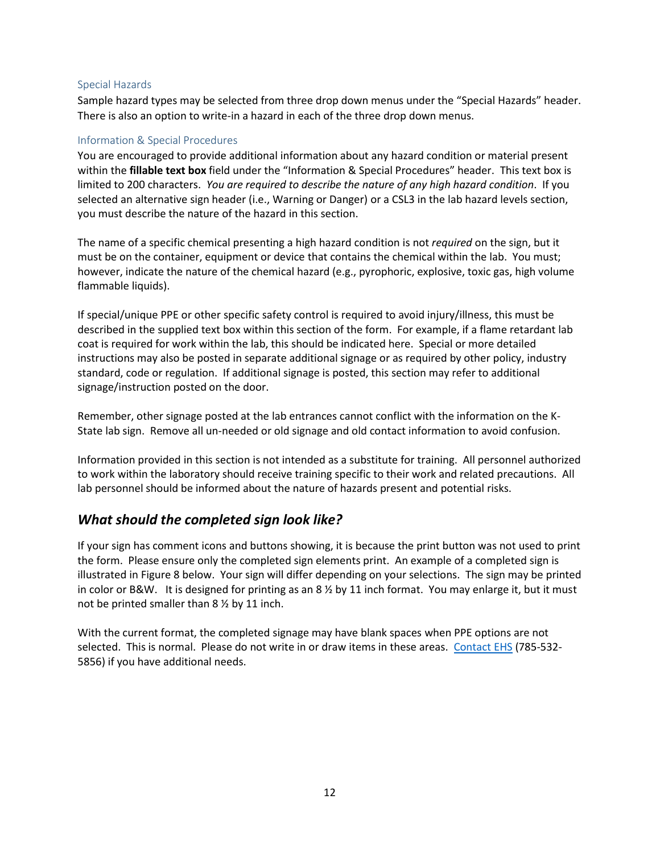#### Special Hazards

Sample hazard types may be selected from three drop down menus under the "Special Hazards" header. There is also an option to write-in a hazard in each of the three drop down menus.

#### Information & Special Procedures

You are encouraged to provide additional information about any hazard condition or material present within the **fillable text box** field under the "Information & Special Procedures" header. This text box is limited to 200 characters. *You are required to describe the nature of any high hazard condition*. If you selected an alternative sign header (i.e., Warning or Danger) or a CSL3 in the lab hazard levels section, you must describe the nature of the hazard in this section.

The name of a specific chemical presenting a high hazard condition is not *required* on the sign, but it must be on the container, equipment or device that contains the chemical within the lab. You must; however, indicate the nature of the chemical hazard (e.g., pyrophoric, explosive, toxic gas, high volume flammable liquids).

If special/unique PPE or other specific safety control is required to avoid injury/illness, this must be described in the supplied text box within this section of the form. For example, if a flame retardant lab coat is required for work within the lab, this should be indicated here. Special or more detailed instructions may also be posted in separate additional signage or as required by other policy, industry standard, code or regulation. If additional signage is posted, this section may refer to additional signage/instruction posted on the door.

Remember, other signage posted at the lab entrances cannot conflict with the information on the K-State lab sign. Remove all un-needed or old signage and old contact information to avoid confusion.

Information provided in this section is not intended as a substitute for training. All personnel authorized to work within the laboratory should receive training specific to their work and related precautions. All lab personnel should be informed about the nature of hazards present and potential risks.

### *What should the completed sign look like?*

If your sign has comment icons and buttons showing, it is because the print button was not used to print the form. Please ensure only the completed sign elements print. An example of a completed sign is illustrated in Figure 8 below. Your sign will differ depending on your selections. The sign may be printed in color or B&W. It is designed for printing as an  $8\frac{1}{2}$  by 11 inch format. You may enlarge it, but it must not be printed smaller than 8 ½ by 11 inch.

With the current format, the completed signage may have blank spaces when PPE options are not selected. This is normal. Please do not write in or draw items in these areas. [Contact EHS](mailto:safety@k-state.edu) (785-532- 5856) if you have additional needs.